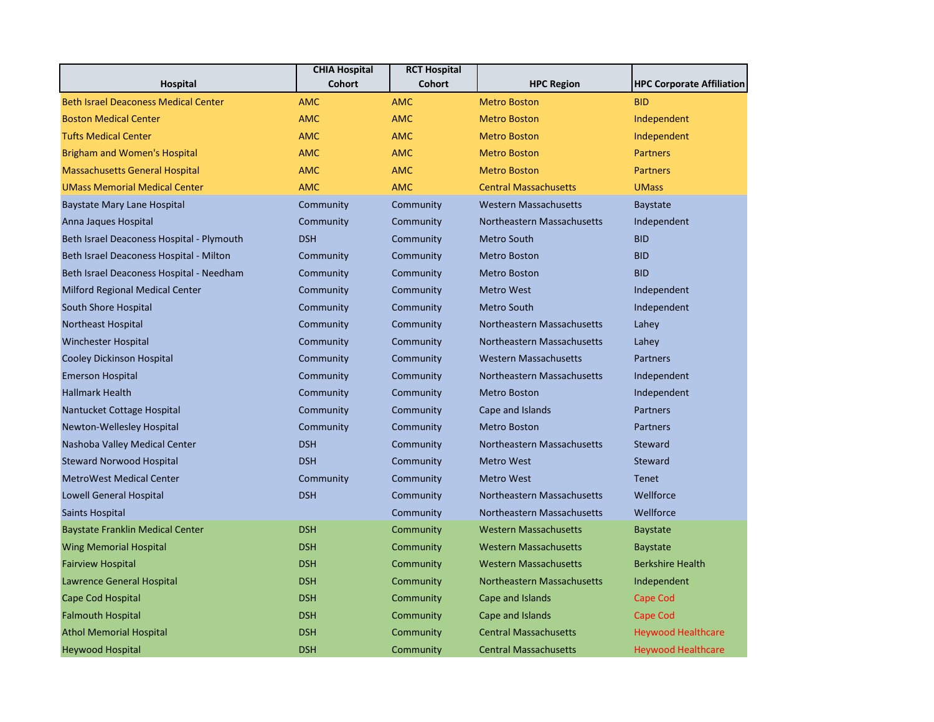| <b>Hospital</b>                             | <b>CHIA Hospital</b><br><b>Cohort</b> | <b>RCT Hospital</b><br><b>Cohort</b> | <b>HPC Region</b>            | <b>HPC Corporate Affiliation</b> |
|---------------------------------------------|---------------------------------------|--------------------------------------|------------------------------|----------------------------------|
| <b>Beth Israel Deaconess Medical Center</b> | <b>AMC</b>                            | <b>AMC</b>                           | <b>Metro Boston</b>          | <b>BID</b>                       |
| <b>Boston Medical Center</b>                | <b>AMC</b>                            | <b>AMC</b>                           | <b>Metro Boston</b>          | Independent                      |
| <b>Tufts Medical Center</b>                 | <b>AMC</b>                            | <b>AMC</b>                           | <b>Metro Boston</b>          | Independent                      |
| <b>Brigham and Women's Hospital</b>         | <b>AMC</b>                            | <b>AMC</b>                           | <b>Metro Boston</b>          | <b>Partners</b>                  |
| <b>Massachusetts General Hospital</b>       | <b>AMC</b>                            | <b>AMC</b>                           | <b>Metro Boston</b>          | <b>Partners</b>                  |
| <b>UMass Memorial Medical Center</b>        | <b>AMC</b>                            | <b>AMC</b>                           | <b>Central Massachusetts</b> | <b>UMass</b>                     |
| <b>Baystate Mary Lane Hospital</b>          | Community                             | Community                            | <b>Western Massachusetts</b> | Baystate                         |
| Anna Jaques Hospital                        | Community                             | Community                            | Northeastern Massachusetts   | Independent                      |
| Beth Israel Deaconess Hospital - Plymouth   | <b>DSH</b>                            | Community                            | <b>Metro South</b>           | <b>BID</b>                       |
| Beth Israel Deaconess Hospital - Milton     | Community                             | Community                            | <b>Metro Boston</b>          | <b>BID</b>                       |
| Beth Israel Deaconess Hospital - Needham    | Community                             | Community                            | <b>Metro Boston</b>          | <b>BID</b>                       |
| Milford Regional Medical Center             | Community                             | Community                            | <b>Metro West</b>            | Independent                      |
| South Shore Hospital                        | Community                             | Community                            | <b>Metro South</b>           | Independent                      |
| <b>Northeast Hospital</b>                   | Community                             | Community                            | Northeastern Massachusetts   | Lahey                            |
| <b>Winchester Hospital</b>                  | Community                             | Community                            | Northeastern Massachusetts   | Lahey                            |
| Cooley Dickinson Hospital                   | Community                             | Community                            | <b>Western Massachusetts</b> | Partners                         |
| <b>Emerson Hospital</b>                     | Community                             | Community                            | Northeastern Massachusetts   | Independent                      |
| <b>Hallmark Health</b>                      | Community                             | Community                            | <b>Metro Boston</b>          | Independent                      |
| Nantucket Cottage Hospital                  | Community                             | Community                            | Cape and Islands             | Partners                         |
| Newton-Wellesley Hospital                   | Community                             | Community                            | <b>Metro Boston</b>          | <b>Partners</b>                  |
| Nashoba Valley Medical Center               | <b>DSH</b>                            | Community                            | Northeastern Massachusetts   | Steward                          |
| <b>Steward Norwood Hospital</b>             | <b>DSH</b>                            | Community                            | <b>Metro West</b>            | Steward                          |
| <b>MetroWest Medical Center</b>             | Community                             | Community                            | <b>Metro West</b>            | <b>Tenet</b>                     |
| <b>Lowell General Hospital</b>              | <b>DSH</b>                            | Community                            | Northeastern Massachusetts   | Wellforce                        |
| <b>Saints Hospital</b>                      |                                       | Community                            | Northeastern Massachusetts   | Wellforce                        |
| <b>Baystate Franklin Medical Center</b>     | <b>DSH</b>                            | Community                            | <b>Western Massachusetts</b> | <b>Baystate</b>                  |
| <b>Wing Memorial Hospital</b>               | <b>DSH</b>                            | Community                            | <b>Western Massachusetts</b> | <b>Baystate</b>                  |
| <b>Fairview Hospital</b>                    | <b>DSH</b>                            | Community                            | <b>Western Massachusetts</b> | <b>Berkshire Health</b>          |
| Lawrence General Hospital                   | <b>DSH</b>                            | Community                            | Northeastern Massachusetts   | Independent                      |
| Cape Cod Hospital                           | <b>DSH</b>                            | Community                            | Cape and Islands             | Cape Cod                         |
| <b>Falmouth Hospital</b>                    | <b>DSH</b>                            | Community                            | Cape and Islands             | Cape Cod                         |
| <b>Athol Memorial Hospital</b>              | <b>DSH</b>                            | Community                            | <b>Central Massachusetts</b> | <b>Heywood Healthcare</b>        |
| <b>Heywood Hospital</b>                     | <b>DSH</b>                            | Community                            | <b>Central Massachusetts</b> | <b>Heywood Healthcare</b>        |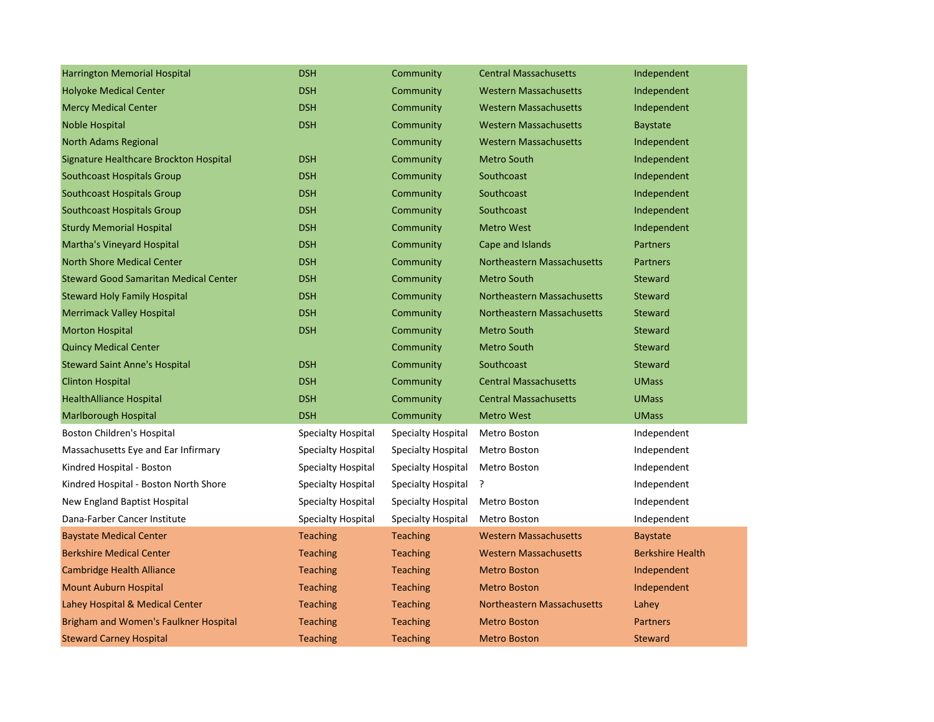| <b>Harrington Memorial Hospital</b>          | <b>DSH</b>                | Community                 | <b>Central Massachusetts</b> | Independent             |
|----------------------------------------------|---------------------------|---------------------------|------------------------------|-------------------------|
| <b>Holyoke Medical Center</b>                | <b>DSH</b>                | Community                 | <b>Western Massachusetts</b> | Independent             |
| <b>Mercy Medical Center</b>                  | <b>DSH</b>                | Community                 | <b>Western Massachusetts</b> | Independent             |
| Noble Hospital                               | <b>DSH</b>                | Community                 | <b>Western Massachusetts</b> | <b>Baystate</b>         |
| <b>North Adams Regional</b>                  |                           | Community                 | <b>Western Massachusetts</b> | Independent             |
| Signature Healthcare Brockton Hospital       | <b>DSH</b>                | Community                 | <b>Metro South</b>           | Independent             |
| Southcoast Hospitals Group                   | <b>DSH</b>                | Community                 | Southcoast                   | Independent             |
| <b>Southcoast Hospitals Group</b>            | <b>DSH</b>                | Community                 | Southcoast                   | Independent             |
| Southcoast Hospitals Group                   | <b>DSH</b>                | Community                 | Southcoast                   | Independent             |
| <b>Sturdy Memorial Hospital</b>              | <b>DSH</b>                | Community                 | <b>Metro West</b>            | Independent             |
| <b>Martha's Vineyard Hospital</b>            | <b>DSH</b>                | Community                 | Cape and Islands             | <b>Partners</b>         |
| <b>North Shore Medical Center</b>            | <b>DSH</b>                | Community                 | Northeastern Massachusetts   | <b>Partners</b>         |
| <b>Steward Good Samaritan Medical Center</b> | <b>DSH</b>                | Community                 | <b>Metro South</b>           | <b>Steward</b>          |
| <b>Steward Holy Family Hospital</b>          | <b>DSH</b>                | Community                 | Northeastern Massachusetts   | <b>Steward</b>          |
| <b>Merrimack Valley Hospital</b>             | <b>DSH</b>                | Community                 | Northeastern Massachusetts   | <b>Steward</b>          |
| <b>Morton Hospital</b>                       | <b>DSH</b>                | Community                 | <b>Metro South</b>           | <b>Steward</b>          |
| <b>Quincy Medical Center</b>                 |                           | Community                 | <b>Metro South</b>           | <b>Steward</b>          |
| <b>Steward Saint Anne's Hospital</b>         | <b>DSH</b>                | Community                 | Southcoast                   | <b>Steward</b>          |
| <b>Clinton Hospital</b>                      | <b>DSH</b>                | Community                 | <b>Central Massachusetts</b> | <b>UMass</b>            |
| <b>HealthAlliance Hospital</b>               | <b>DSH</b>                | Community                 | <b>Central Massachusetts</b> | <b>UMass</b>            |
| Marlborough Hospital                         | <b>DSH</b>                | Community                 | <b>Metro West</b>            | <b>UMass</b>            |
| Boston Children's Hospital                   | <b>Specialty Hospital</b> | <b>Specialty Hospital</b> | Metro Boston                 | Independent             |
| Massachusetts Eye and Ear Infirmary          | Specialty Hospital        | Specialty Hospital        | Metro Boston                 | Independent             |
| Kindred Hospital - Boston                    | Specialty Hospital        | <b>Specialty Hospital</b> | Metro Boston                 | Independent             |
| Kindred Hospital - Boston North Shore        | Specialty Hospital        | Specialty Hospital        | ŗ                            | Independent             |
| New England Baptist Hospital                 | Specialty Hospital        | Specialty Hospital        | Metro Boston                 | Independent             |
| Dana-Farber Cancer Institute                 | <b>Specialty Hospital</b> | <b>Specialty Hospital</b> | Metro Boston                 | Independent             |
| <b>Baystate Medical Center</b>               | <b>Teaching</b>           | <b>Teaching</b>           | <b>Western Massachusetts</b> | <b>Baystate</b>         |
| <b>Berkshire Medical Center</b>              | <b>Teaching</b>           | <b>Teaching</b>           | <b>Western Massachusetts</b> | <b>Berkshire Health</b> |
| <b>Cambridge Health Alliance</b>             | <b>Teaching</b>           | <b>Teaching</b>           | <b>Metro Boston</b>          | Independent             |
| <b>Mount Auburn Hospital</b>                 | <b>Teaching</b>           | <b>Teaching</b>           | <b>Metro Boston</b>          | Independent             |
| Lahey Hospital & Medical Center              | <b>Teaching</b>           | <b>Teaching</b>           | Northeastern Massachusetts   | Lahey                   |
| Brigham and Women's Faulkner Hospital        | <b>Teaching</b>           | <b>Teaching</b>           | <b>Metro Boston</b>          | <b>Partners</b>         |
| <b>Steward Carney Hospital</b>               | <b>Teaching</b>           | <b>Teaching</b>           | <b>Metro Boston</b>          | <b>Steward</b>          |